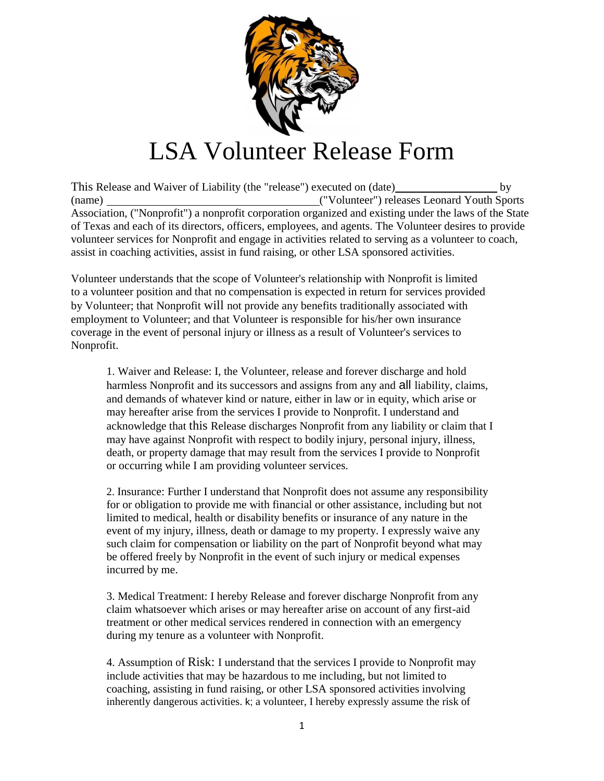

## LSA Volunteer Release Form

This Release and Waiver of Liability (the "release") executed on (date) by (name) ("Volunteer") releases Leonard Youth Sports Association, ("Nonprofit") a nonprofit corporation organized and existing under the laws of the State of Texas and each of its directors, officers, employees, and agents. The Volunteer desires to provide volunteer services for Nonprofit and engage in activities related to serving as a volunteer to coach, assist in coaching activities, assist in fund raising, or other LSA sponsored activities.

Volunteer understands that the scope of Volunteer's relationship with Nonprofit is limited to a volunteer position and that no compensation is expected in return for services provided by Volunteer; that Nonprofit will not provide any benefits traditionally associated with employment to Volunteer; and that Volunteer is responsible for his/her own insurance coverage in the event of personal injury or illness as a result of Volunteer's services to Nonprofit.

1. Waiver and Release: I, the Volunteer, release and forever discharge and hold harmless Nonprofit and its successors and assigns from any and all liability, claims, and demands of whatever kind or nature, either in law or in equity, which arise or may hereafter arise from the services I provide to Nonprofit. I understand and acknowledge that this Release discharges Nonprofit from any liability or claim that I may have against Nonprofit with respect to bodily injury, personal injury, illness, death, or property damage that may result from the services I provide to Nonprofit or occurring while I am providing volunteer services.

2. Insurance: Further I understand that Nonprofit does not assume any responsibility for or obligation to provide me with financial or other assistance, including but not limited to medical, health or disability benefits or insurance of any nature in the event of my injury, illness, death or damage to my property. I expressly waive any such claim for compensation or liability on the part of Nonprofit beyond what may be offered freely by Nonprofit in the event of such injury or medical expenses incurred by me.

3. Medical Treatment: I hereby Release and forever discharge Nonprofit from any claim whatsoever which arises or may hereafter arise on account of any first-aid treatment or other medical services rendered in connection with an emergency during my tenure as a volunteer with Nonprofit.

4. Assumption of Risk: I understand that the services I provide to Nonprofit may include activities that may be hazardous to me including, but not limited to coaching, assisting in fund raising, or other LSA sponsored activities involving inherently dangerous activities. k; a volunteer, I hereby expressly assume the risk of